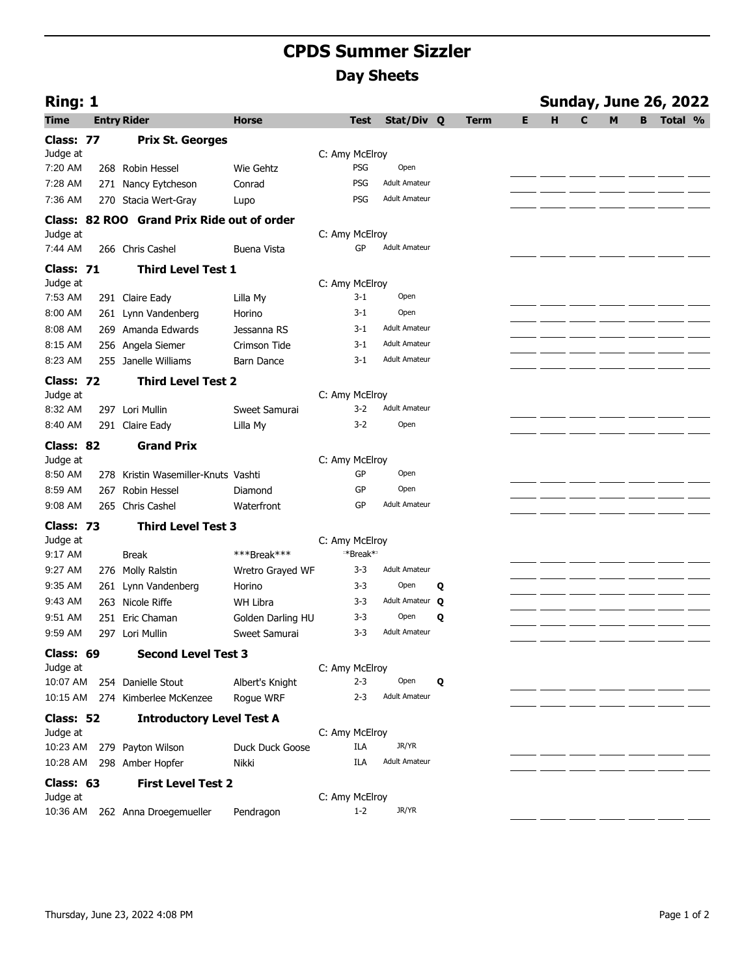## **CPDS Summer Sizzler Day Sheets**

| Ring: 1     |                                            |                   |                |                      |   |             |   |   |              |   |   | <b>Sunday, June 26, 2022</b> |  |
|-------------|--------------------------------------------|-------------------|----------------|----------------------|---|-------------|---|---|--------------|---|---|------------------------------|--|
| <b>Time</b> | <b>Entry Rider</b>                         | <b>Horse</b>      | <b>Test</b>    | Stat/Div Q           |   | <b>Term</b> | Е | н | $\mathbf{C}$ | M | B | Total %                      |  |
| Class: 77   | <b>Prix St. Georges</b>                    |                   |                |                      |   |             |   |   |              |   |   |                              |  |
| Judge at    |                                            |                   | C: Amy McElroy |                      |   |             |   |   |              |   |   |                              |  |
| 7:20 AM     | 268 Robin Hessel                           | Wie Gehtz         | <b>PSG</b>     | Open                 |   |             |   |   |              |   |   |                              |  |
| 7:28 AM     | 271 Nancy Eytcheson                        | Conrad            | <b>PSG</b>     | <b>Adult Amateur</b> |   |             |   |   |              |   |   |                              |  |
| 7:36 AM     | 270 Stacia Wert-Gray                       | Lupo              | <b>PSG</b>     | <b>Adult Amateur</b> |   |             |   |   |              |   |   |                              |  |
|             | Class: 82 ROO Grand Prix Ride out of order |                   |                |                      |   |             |   |   |              |   |   |                              |  |
| Judge at    |                                            |                   | C: Amy McElroy |                      |   |             |   |   |              |   |   |                              |  |
| 7:44 AM     | 266 Chris Cashel                           | Buena Vista       | GP             | <b>Adult Amateur</b> |   |             |   |   |              |   |   |                              |  |
| Class: 71   | <b>Third Level Test 1</b>                  |                   |                |                      |   |             |   |   |              |   |   |                              |  |
| Judge at    |                                            |                   | C: Amy McElroy |                      |   |             |   |   |              |   |   |                              |  |
| 7:53 AM     | 291 Claire Eady                            | Lilla My          | $3 - 1$        | Open                 |   |             |   |   |              |   |   |                              |  |
| 8:00 AM     | 261 Lynn Vandenberg                        | Horino            | $3 - 1$        | Open                 |   |             |   |   |              |   |   |                              |  |
| 8:08 AM     | 269 Amanda Edwards                         | Jessanna RS       | 3-1            | <b>Adult Amateur</b> |   |             |   |   |              |   |   |                              |  |
| 8:15 AM     | 256 Angela Siemer                          | Crimson Tide      | 3-1            | <b>Adult Amateur</b> |   |             |   |   |              |   |   |                              |  |
| 8:23 AM     | 255 Janelle Williams                       | <b>Barn Dance</b> | 3-1            | <b>Adult Amateur</b> |   |             |   |   |              |   |   |                              |  |
| Class: 72   | <b>Third Level Test 2</b>                  |                   |                |                      |   |             |   |   |              |   |   |                              |  |
| Judge at    |                                            |                   | C: Amy McElroy |                      |   |             |   |   |              |   |   |                              |  |
| 8:32 AM     | 297 Lori Mullin                            | Sweet Samurai     | $3-2$          | <b>Adult Amateur</b> |   |             |   |   |              |   |   |                              |  |
| 8:40 AM     | 291 Claire Eady                            | Lilla My          | $3 - 2$        | Open                 |   |             |   |   |              |   |   |                              |  |
| Class: 82   | <b>Grand Prix</b>                          |                   |                |                      |   |             |   |   |              |   |   |                              |  |
| Judge at    |                                            |                   | C: Amy McElroy |                      |   |             |   |   |              |   |   |                              |  |
| 8:50 AM     | 278 Kristin Wasemiller-Knuts Vashti        |                   | GP             | Open                 |   |             |   |   |              |   |   |                              |  |
| 8:59 AM     | 267 Robin Hessel                           | Diamond           | GP             | Open                 |   |             |   |   |              |   |   |                              |  |
| 9:08 AM     | 265 Chris Cashel                           | Waterfront        | GP             | <b>Adult Amateur</b> |   |             |   |   |              |   |   |                              |  |
| Class: 73   | <b>Third Level Test 3</b>                  |                   |                |                      |   |             |   |   |              |   |   |                              |  |
| Judge at    |                                            |                   | C: Amy McElroy |                      |   |             |   |   |              |   |   |                              |  |
| 9:17 AM     | Break                                      | ***Break***       | **Break**      |                      |   |             |   |   |              |   |   |                              |  |
| 9:27 AM     | 276 Molly Ralstin                          | Wretro Grayed WF  | $3 - 3$        | <b>Adult Amateur</b> |   |             |   |   |              |   |   |                              |  |
| 9:35 AM     | 261 Lynn Vandenberg                        | Horino            | $3 - 3$        | Open                 | Q |             |   |   |              |   |   |                              |  |
| 9:43 AM     | 263 Nicole Riffe                           | WH Libra          | $3 - 3$        | Adult Amateur Q      |   |             |   |   |              |   |   |                              |  |
| 9:51 AM     | 251 Eric Chaman                            | Golden Darling HU | 3-3            | Open                 | Q |             |   |   |              |   |   |                              |  |
| 9:59 AM     | 297 Lori Mullin                            | Sweet Samurai     | 3-3            | <b>Adult Amateur</b> |   |             |   |   |              |   |   |                              |  |
| Class: 69   | <b>Second Level Test 3</b>                 |                   |                |                      |   |             |   |   |              |   |   |                              |  |
| Judge at    |                                            |                   | C: Amy McElroy |                      |   |             |   |   |              |   |   |                              |  |
| 10:07 AM    | 254 Danielle Stout                         | Albert's Knight   | $2 - 3$        | Open                 | Q |             |   |   |              |   |   |                              |  |
| 10:15 AM    | 274 Kimberlee McKenzee                     | Rogue WRF         | $2 - 3$        | <b>Adult Amateur</b> |   |             |   |   |              |   |   |                              |  |
| Class: 52   | <b>Introductory Level Test A</b>           |                   |                |                      |   |             |   |   |              |   |   |                              |  |
| Judge at    |                                            |                   | C: Amy McElroy |                      |   |             |   |   |              |   |   |                              |  |
| 10:23 AM    | 279 Payton Wilson                          | Duck Duck Goose   | ILA            | JR/YR                |   |             |   |   |              |   |   |                              |  |
| 10:28 AM    | 298 Amber Hopfer                           | Nikki             | ILA            | <b>Adult Amateur</b> |   |             |   |   |              |   |   |                              |  |
| Class: 63   | <b>First Level Test 2</b>                  |                   |                |                      |   |             |   |   |              |   |   |                              |  |
| Judge at    |                                            |                   | C: Amy McElroy |                      |   |             |   |   |              |   |   |                              |  |
| 10:36 AM    | 262 Anna Droegemueller                     | Pendragon         | $1 - 2$        | JR/YR                |   |             |   |   |              |   |   |                              |  |